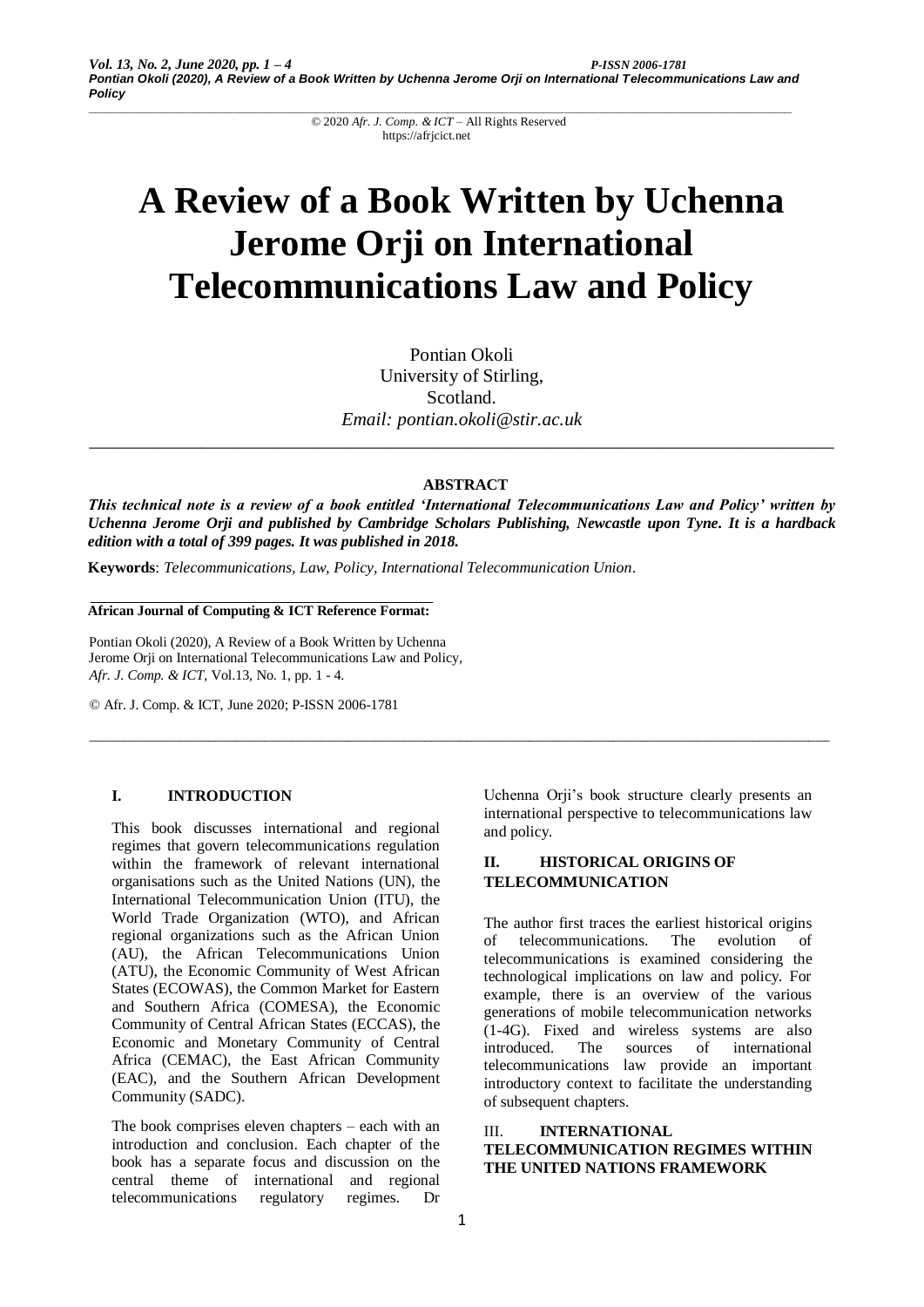© 2020 *Afr. J. Comp. & ICT* – All Rights Reserved https://afrjcict.net

# **A Review of a Book Written by Uchenna Jerome Orji on International Telecommunications Law and Policy**

Pontian Okoli University of Stirling, Scotland. *Email: pontian.okoli@stir.ac.uk*

*\_\_\_\_\_\_\_\_\_\_\_\_\_\_\_\_\_\_\_\_\_\_\_\_\_\_\_\_\_\_\_\_\_\_\_\_\_\_\_\_\_\_\_\_\_\_\_\_\_\_\_\_\_\_\_\_\_\_\_\_\_\_\_\_\_\_\_\_\_\_\_\_\_\_\_\_\_\_\_\_*

**ABSTRACT**

*This technical note is a review of a book entitled 'International Telecommunications Law and Policy' written by Uchenna Jerome Orji and published by Cambridge Scholars Publishing, Newcastle upon Tyne. It is a hardback edition with a total of 399 pages. It was published in 2018.* 

\_\_\_\_\_\_\_\_\_\_\_\_\_\_\_\_\_\_\_\_\_\_\_\_\_\_\_\_\_\_\_\_\_\_\_\_\_\_\_\_\_\_\_\_\_\_\_\_\_\_\_\_\_\_\_\_\_\_\_\_\_\_\_\_\_\_\_\_\_\_\_\_\_\_\_\_\_\_\_\_\_\_\_\_\_\_\_\_\_\_\_\_\_\_\_\_\_\_\_\_\_\_\_\_\_\_

**Keywords**: *Telecommunications, Law, Policy, International Telecommunication Union.*

**African Journal of Computing & ICT Reference Format:**

Pontian Okoli (2020), A Review of a Book Written by Uchenna Jerome Orji on International Telecommunications Law and Policy, *Afr. J. Comp. & ICT*, Vol.13, No. 1, pp. 1 - 4.

© Afr. J. Comp. & ICT, June 2020; P-ISSN 2006-1781

## **I. INTRODUCTION**

This book discusses international and regional regimes that govern telecommunications regulation within the framework of relevant international organisations such as the United Nations (UN), the International Telecommunication Union (ITU), the World Trade Organization (WTO), and African regional organizations such as the African Union (AU), the African Telecommunications Union (ATU), the Economic Community of West African States (ECOWAS), the Common Market for Eastern and Southern Africa (COMESA), the Economic Community of Central African States (ECCAS), the Economic and Monetary Community of Central Africa (CEMAC), the East African Community (EAC), and the Southern African Development Community (SADC).

The book comprises eleven chapters – each with an introduction and conclusion. Each chapter of the book has a separate focus and discussion on the central theme of international and regional telecommunications regulatory regimes. Dr

Uchenna Orji's book structure clearly presents an international perspective to telecommunications law and policy.

# **II. HISTORICAL ORIGINS OF TELECOMMUNICATION**

The author first traces the earliest historical origins of telecommunications. The evolution of telecommunications is examined considering the technological implications on law and policy. For example, there is an overview of the various generations of mobile telecommunication networks (1-4G). Fixed and wireless systems are also introduced. The sources of international telecommunications law provide an important introductory context to facilitate the understanding of subsequent chapters.

III. **INTERNATIONAL TELECOMMUNICATION REGIMES WITHIN THE UNITED NATIONS FRAMEWORK**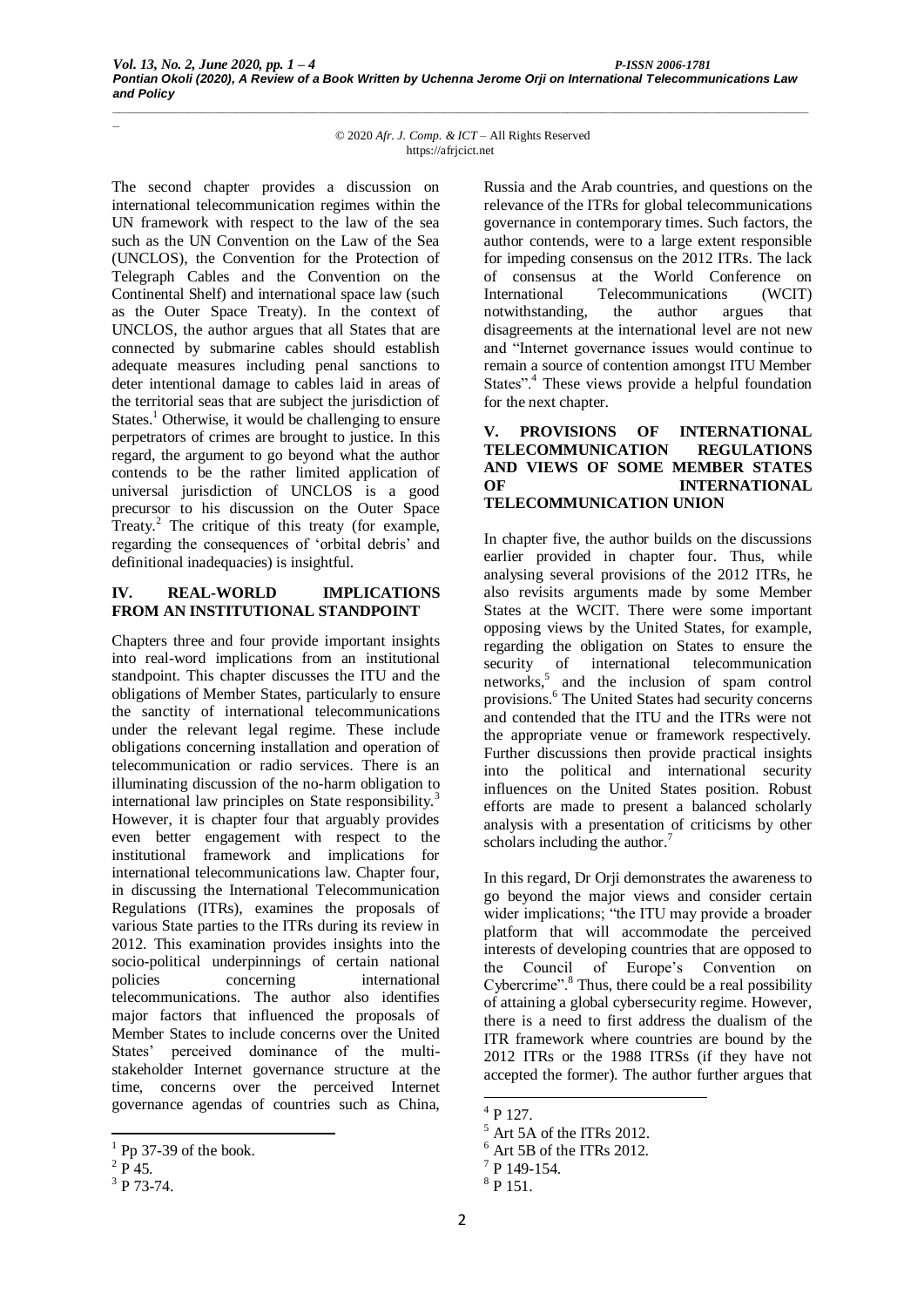*\_*

© 2020 *Afr. J. Comp. & ICT* – All Rights Reserved https://afrjcict.net

*\_\_\_\_\_\_\_\_\_\_\_\_\_\_\_\_\_\_\_\_\_\_\_\_\_\_\_\_\_\_\_\_\_\_\_\_\_\_\_\_\_\_\_\_\_\_\_\_\_\_\_\_\_\_\_\_\_\_\_\_\_\_\_\_\_\_\_\_\_\_\_\_\_\_\_\_\_\_\_\_\_\_\_\_\_\_\_\_\_\_\_\_\_\_\_\_\_\_\_\_\_*

The second chapter provides a discussion on international telecommunication regimes within the UN framework with respect to the law of the sea such as the UN Convention on the Law of the Sea (UNCLOS), the Convention for the Protection of Telegraph Cables and the Convention on the Continental Shelf) and international space law (such as the Outer Space Treaty). In the context of UNCLOS, the author argues that all States that are connected by submarine cables should establish adequate measures including penal sanctions to deter intentional damage to cables laid in areas of the territorial seas that are subject the jurisdiction of States.<sup>1</sup> Otherwise, it would be challenging to ensure perpetrators of crimes are brought to justice. In this regard, the argument to go beyond what the author contends to be the rather limited application of universal jurisdiction of UNCLOS is a good precursor to his discussion on the Outer Space Treaty. $^2$  The critique of this treaty (for example, regarding the consequences of 'orbital debris' and definitional inadequacies) is insightful.

## **IV. REAL-WORLD IMPLICATIONS FROM AN INSTITUTIONAL STANDPOINT**

Chapters three and four provide important insights into real-word implications from an institutional standpoint. This chapter discusses the ITU and the obligations of Member States, particularly to ensure the sanctity of international telecommunications under the relevant legal regime. These include obligations concerning installation and operation of telecommunication or radio services. There is an illuminating discussion of the no-harm obligation to international law principles on State responsibility.<sup>3</sup> However, it is chapter four that arguably provides even better engagement with respect to the institutional framework and implications for international telecommunications law. Chapter four, in discussing the International Telecommunication Regulations (ITRs), examines the proposals of various State parties to the ITRs during its review in 2012. This examination provides insights into the socio-political underpinnings of certain national policies concerning international telecommunications. The author also identifies major factors that influenced the proposals of Member States to include concerns over the United States' perceived dominance of the multistakeholder Internet governance structure at the time, concerns over the perceived Internet governance agendas of countries such as China,

Russia and the Arab countries, and questions on the relevance of the ITRs for global telecommunications governance in contemporary times. Such factors, the author contends, were to a large extent responsible for impeding consensus on the 2012 ITRs. The lack of consensus at the World Conference on International Telecommunications (WCIT) notwithstanding, the author argues that disagreements at the international level are not new and "Internet governance issues would continue to remain a source of contention amongst ITU Member States".<sup>4</sup> These views provide a helpful foundation for the next chapter.

#### **V. PROVISIONS OF INTERNATIONAL TELECOMMUNICATION REGULATIONS AND VIEWS OF SOME MEMBER STATES OF INTERNATIONAL TELECOMMUNICATION UNION**

In chapter five, the author builds on the discussions earlier provided in chapter four. Thus, while analysing several provisions of the 2012 ITRs, he also revisits arguments made by some Member States at the WCIT. There were some important opposing views by the United States, for example, regarding the obligation on States to ensure the security of international telecommunication networks,<sup>5</sup> and the inclusion of spam control provisions.<sup>6</sup> The United States had security concerns and contended that the ITU and the ITRs were not the appropriate venue or framework respectively. Further discussions then provide practical insights into the political and international security influences on the United States position. Robust efforts are made to present a balanced scholarly analysis with a presentation of criticisms by other scholars including the author.<sup>7</sup>

In this regard, Dr Orji demonstrates the awareness to go beyond the major views and consider certain wider implications; "the ITU may provide a broader platform that will accommodate the perceived interests of developing countries that are opposed to the Council of Europe's Convention on Cybercrime".<sup>8</sup> Thus, there could be a real possibility of attaining a global cybersecurity regime. However, there is a need to first address the dualism of the ITR framework where countries are bound by the 2012 ITRs or the 1988 ITRSs (if they have not accepted the former). The author further argues that

<sup>1</sup>  $<sup>1</sup>$  Pp 37-39 of the book.</sup>

 $^{2}P$  45.

 $3$  P 73-74.

<sup>-</sup>4 P 127.

 $<sup>5</sup>$  Art 5A of the ITRs 2012.</sup>

 $6$  Art 5B of the ITRs 2012.

 $7$  P 149-154.

<sup>8</sup> P 151.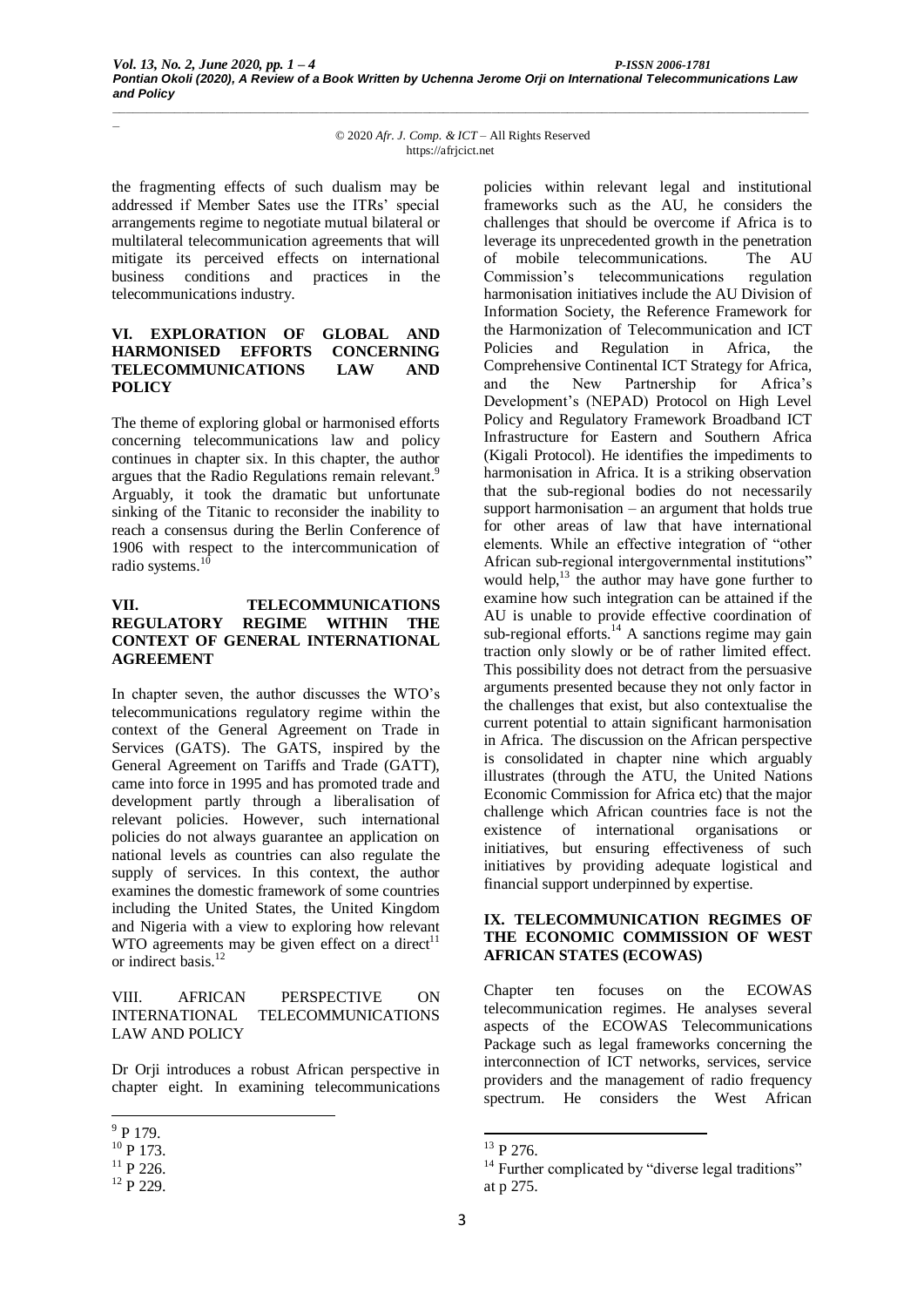*\_*

© 2020 *Afr. J. Comp. & ICT* – All Rights Reserved https://afrjcict.net

*\_\_\_\_\_\_\_\_\_\_\_\_\_\_\_\_\_\_\_\_\_\_\_\_\_\_\_\_\_\_\_\_\_\_\_\_\_\_\_\_\_\_\_\_\_\_\_\_\_\_\_\_\_\_\_\_\_\_\_\_\_\_\_\_\_\_\_\_\_\_\_\_\_\_\_\_\_\_\_\_\_\_\_\_\_\_\_\_\_\_\_\_\_\_\_\_\_\_\_\_\_*

the fragmenting effects of such dualism may be addressed if Member Sates use the ITRs' special arrangements regime to negotiate mutual bilateral or multilateral telecommunication agreements that will mitigate its perceived effects on international business conditions and practices in the telecommunications industry.

## **VI. EXPLORATION OF GLOBAL AND HARMONISED EFFORTS CONCERNING TELECOMMUNICATIONS LAW AND POLICY**

The theme of exploring global or harmonised efforts concerning telecommunications law and policy continues in chapter six. In this chapter, the author argues that the Radio Regulations remain relevant.<sup>9</sup> Arguably, it took the dramatic but unfortunate sinking of the Titanic to reconsider the inability to reach a consensus during the Berlin Conference of 1906 with respect to the intercommunication of radio systems.<sup>10</sup>

### **VII. TELECOMMUNICATIONS REGULATORY REGIME WITHIN THE CONTEXT OF GENERAL INTERNATIONAL AGREEMENT**

In chapter seven, the author discusses the WTO's telecommunications regulatory regime within the context of the General Agreement on Trade in Services (GATS). The GATS, inspired by the General Agreement on Tariffs and Trade (GATT), came into force in 1995 and has promoted trade and development partly through a liberalisation of relevant policies. However, such international policies do not always guarantee an application on national levels as countries can also regulate the supply of services. In this context, the author examines the domestic framework of some countries including the United States, the United Kingdom and Nigeria with a view to exploring how relevant WTO agreements may be given effect on a direct<sup>11</sup> or indirect basis.<sup>12</sup>

#### VIII. AFRICAN PERSPECTIVE ON INTERNATIONAL TELECOMMUNICATIONS LAW AND POLICY

Dr Orji introduces a robust African perspective in chapter eight. In examining telecommunications policies within relevant legal and institutional frameworks such as the AU, he considers the challenges that should be overcome if Africa is to leverage its unprecedented growth in the penetration of mobile telecommunications. The AU<br>Commission's telecommunications regulation Commission's telecommunications harmonisation initiatives include the AU Division of Information Society, the Reference Framework for the Harmonization of Telecommunication and ICT Policies and Regulation in Africa, the Comprehensive Continental ICT Strategy for Africa, and the New Partnership for Africa's Development's (NEPAD) Protocol on High Level Policy and Regulatory Framework Broadband ICT Infrastructure for Eastern and Southern Africa (Kigali Protocol). He identifies the impediments to harmonisation in Africa. It is a striking observation that the sub-regional bodies do not necessarily support harmonisation – an argument that holds true for other areas of law that have international elements. While an effective integration of "other African sub-regional intergovernmental institutions" would help, $^{13}$  the author may have gone further to examine how such integration can be attained if the AU is unable to provide effective coordination of sub-regional efforts.<sup>14</sup> A sanctions regime may gain traction only slowly or be of rather limited effect. This possibility does not detract from the persuasive arguments presented because they not only factor in the challenges that exist, but also contextualise the current potential to attain significant harmonisation in Africa. The discussion on the African perspective is consolidated in chapter nine which arguably illustrates (through the ATU, the United Nations Economic Commission for Africa etc) that the major challenge which African countries face is not the existence of international organisations or initiatives, but ensuring effectiveness of such initiatives by providing adequate logistical and financial support underpinned by expertise.

#### **IX. TELECOMMUNICATION REGIMES OF THE ECONOMIC COMMISSION OF WEST AFRICAN STATES (ECOWAS)**

Chapter ten focuses on the ECOWAS telecommunication regimes. He analyses several aspects of the ECOWAS Telecommunications Package such as legal frameworks concerning the interconnection of ICT networks, services, service providers and the management of radio frequency spectrum. He considers the West African

1

 $\frac{9}{9}$  P 179.

 $10$  P 173.

 $11$  P 226.

<sup>&</sup>lt;sup>12</sup> P 229.

<sup>&</sup>lt;sup>13</sup> P 276.

<sup>&</sup>lt;sup>14</sup> Further complicated by "diverse legal traditions" at p 275.